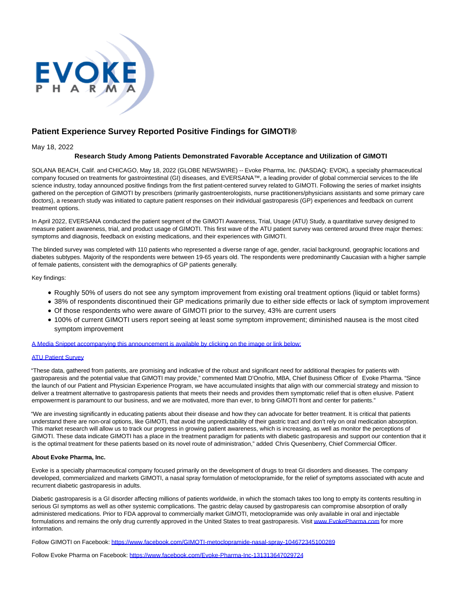

# **Patient Experience Survey Reported Positive Findings for GIMOTI®**

May 18, 2022

# **Research Study Among Patients Demonstrated Favorable Acceptance and Utilization of GIMOTI**

SOLANA BEACH, Calif. and CHICAGO, May 18, 2022 (GLOBE NEWSWIRE) -- Evoke Pharma, Inc. (NASDAQ: EVOK), a specialty pharmaceutical company focused on treatments for gastrointestinal (GI) diseases, and EVERSANA™, a leading provider of global commercial services to the life science industry, today announced positive findings from the first patient-centered survey related to GIMOTI. Following the series of market insights gathered on the perception of GIMOTI by prescribers (primarily gastroenterologists, nurse practitioners/physicians assistants and some primary care doctors), a research study was initiated to capture patient responses on their individual gastroparesis (GP) experiences and feedback on current treatment options.

In April 2022, EVERSANA conducted the patient segment of the GIMOTI Awareness, Trial, Usage (ATU) Study, a quantitative survey designed to measure patient awareness, trial, and product usage of GIMOTI. This first wave of the ATU patient survey was centered around three major themes: symptoms and diagnosis, feedback on existing medications, and their experiences with GIMOTI.

The blinded survey was completed with 110 patients who represented a diverse range of age, gender, racial background, geographic locations and diabetes subtypes. Majority of the respondents were between 19-65 years old. The respondents were predominantly Caucasian with a higher sample of female patients, consistent with the demographics of GP patients generally.

Key findings:

- Roughly 50% of users do not see any symptom improvement from existing oral treatment options (liquid or tablet forms)
- 38% of respondents discontinued their GP medications primarily due to either side effects or lack of symptom improvement
- Of those respondents who were aware of GIMOTI prior to the survey, 43% are current users
- 100% of current GIMOTI users report seeing at least some symptom improvement; diminished nausea is the most cited symptom improvement

[A Media Snippet accompanying this announcement is available by clicking on the image or link below:](https://www.globenewswire.com/Tracker?data=HiKQwAZbMyKscxRm9u7Y5ccKuzbS7HLtWWdpOovWTSTzfHa2I7Ls6Ca11DwpU7LjrE3IAUx-hYWUgAvauhTOMBpkj8ctvDmFuxXgnVQEH22xuqPneFs4jgoNC1gPHr1lU5tIAocb-nLRKTZbs-eHRd2G8vIf8913I-mqMAzjS5JyqJ4zgxYAxKiyUDGUnV_cDI2kmIuPMj2jPjrK-xYCHUQiXSgNRTmx4SQh5DPkymWPE4bArh3BmUhDG9BaIXLA)

# **[ATU Patient Survey](https://www.globenewswire.com/Tracker?data=HntVBSPLeAF496_xz9i4E9r2Du0np8egLA0-FEhceYN6v-B46zshl7YfECYPeknEFKqN2dG0fOvtuEmEzOPkkqDwuu_YpW6JRfPnto6voRE=)**

"These data, gathered from patients, are promising and indicative of the robust and significant need for additional therapies for patients with gastroparesis and the potential value that GIMOTI may provide," commented Matt D'Onofrio, MBA, Chief Business Officer of Evoke Pharma. "Since the launch of our Patient and Physician Experience Program, we have accumulated insights that align with our commercial strategy and mission to deliver a treatment alternative to gastroparesis patients that meets their needs and provides them symptomatic relief that is often elusive. Patient empowerment is paramount to our business, and we are motivated, more than ever, to bring GIMOTI front and center for patients."

"We are investing significantly in educating patients about their disease and how they can advocate for better treatment. It is critical that patients understand there are non-oral options, like GIMOTI, that avoid the unpredictability of their gastric tract and don't rely on oral medication absorption. This market research will allow us to track our progress in growing patient awareness, which is increasing, as well as monitor the perceptions of GIMOTI. These data indicate GIMOTI has a place in the treatment paradigm for patients with diabetic gastroparesis and support our contention that it is the optimal treatment for these patients based on its novel route of administration," added Chris Quesenberry, Chief Commercial Officer.

#### **About Evoke Pharma, Inc.**

Evoke is a specialty pharmaceutical company focused primarily on the development of drugs to treat GI disorders and diseases. The company developed, commercialized and markets GIMOTI, a nasal spray formulation of metoclopramide, for the relief of symptoms associated with acute and recurrent diabetic gastroparesis in adults.

Diabetic gastroparesis is a GI disorder affecting millions of patients worldwide, in which the stomach takes too long to empty its contents resulting in serious GI symptoms as well as other systemic complications. The gastric delay caused by gastroparesis can compromise absorption of orally administered medications. Prior to FDA approval to commercially market GIMOTI, metoclopramide was only available in oral and injectable formulations and remains the only drug currently approved in the United States to treat gastroparesis. Visi[t www.EvokePharma.com f](https://www.globenewswire.com/Tracker?data=kx9GcfNZ7lUlu1iJlAD2gWdmV2WpqkZKC2ptjDHGRfaeaYfE9b75aT0sXi3rCOuUSlQ3hOAk0wM55o3b1VNBvWgmqNlN0blA9_0N-R9CwnI=)or more information.

Follow GIMOTI on Facebook: [https://www.facebook.com/GIMOTI-metoclopramide-nasal-spray-104672345100289](https://www.globenewswire.com/Tracker?data=D553Pw7DXX0N1eHUA8l-WtqJHmLj7lREpDoY_3Mp83NVqyMJLKIn5atNXh_-C3xxdgugvy6ctb4mBpB94F0SEfKNbTtM-8FcVg48WL8KtyOCNqDhKrEjKMPFBatvuwBBREYfpTUZ1ZQol9Go6QZLc4loBM4lUN1JmnK4kYilSLJL674UZpjdgjBKK2lBwfyTVLk28L1TapIWI5ZZJtyBJk2oy912DvonXfKwntq-lNk=)

Follow Evoke Pharma on Facebook: [https://www.facebook.com/Evoke-Pharma-Inc-131313647029724](https://www.globenewswire.com/Tracker?data=D553Pw7DXX0N1eHUA8l-WtqJHmLj7lREpDoY_3Mp83M71qCO_r3APBg_ZvlvMW7ypyAHe7reTrdBZ0TX1LqmXV41_RmQLhLu2-CNt48ncknEiuYtJF1hydfl2tA_CQSQlqdAYTfpstWvh7eVXM9byC_NoVa-CLWIU7QQqyIFTbs86P0Lp_EClobWDrSuZKct)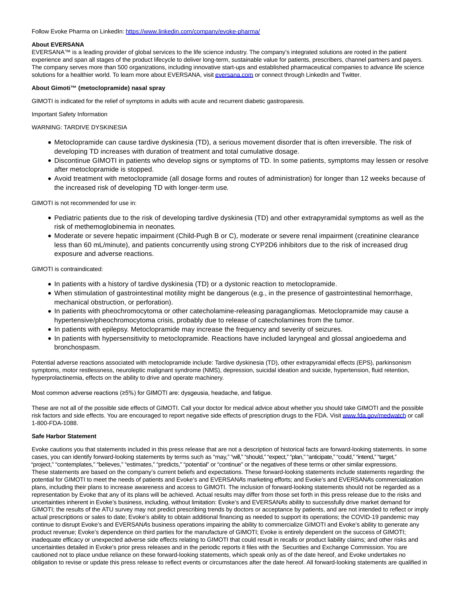#### Follow Evoke Pharma on LinkedIn: [https://www.linkedin.com/company/evoke-pharma/](https://www.globenewswire.com/Tracker?data=D553Pw7DXX0N1eHUA8l-Wjv7SIzIZWBSWC9lxhhwvhWXhoGaALfGgGBNDs0RALIMOIfDMzP8MmfDLxm_NyxRKNMMufBHSPVcF1Qg8habTIbhxEdb6KMGJQvRxosH0XihiwLp0D6x_C23n0rjQ8hUKaIdFLwr1OtHKLx_LkZasEI=)

# **About EVERSANA**

EVERSANA™ is a leading provider of global services to the life science industry. The company's integrated solutions are rooted in the patient experience and span all stages of the product lifecycle to deliver long-term, sustainable value for patients, prescribers, channel partners and payers. The company serves more than 500 organizations, including innovative start-ups and established pharmaceutical companies to advance life science solutions for a healthier world. To learn more about EVERSANA, visi[t eversana.com o](http://eversana.com/)r connect through LinkedIn and Twitter.

# **About Gimoti™ (metoclopramide) nasal spray**

GIMOTI is indicated for the relief of symptoms in adults with acute and recurrent diabetic gastroparesis.

Important Safety Information

WARNING: TARDIVE DYSKINESIA

- Metoclopramide can cause tardive dyskinesia (TD), a serious movement disorder that is often irreversible. The risk of developing TD increases with duration of treatment and total cumulative dosage.
- Discontinue GIMOTI in patients who develop signs or symptoms of TD. In some patients, symptoms may lessen or resolve after metoclopramide is stopped.
- Avoid treatment with metoclopramide (all dosage forms and routes of administration) for longer than 12 weeks because of the increased risk of developing TD with longer-term use.

GIMOTI is not recommended for use in:

- Pediatric patients due to the risk of developing tardive dyskinesia (TD) and other extrapyramidal symptoms as well as the risk of methemoglobinemia in neonates.
- Moderate or severe hepatic impairment (Child-Pugh B or C), moderate or severe renal impairment (creatinine clearance less than 60 mL/minute), and patients concurrently using strong CYP2D6 inhibitors due to the risk of increased drug exposure and adverse reactions.

GIMOTI is contraindicated:

- In patients with a history of tardive dyskinesia (TD) or a dystonic reaction to metoclopramide.
- When stimulation of gastrointestinal motility might be dangerous (e.g., in the presence of gastrointestinal hemorrhage, mechanical obstruction, or perforation).
- In patients with pheochromocytoma or other catecholamine-releasing paragangliomas. Metoclopramide may cause a hypertensive/pheochromocytoma crisis, probably due to release of catecholamines from the tumor.
- In patients with epilepsy. Metoclopramide may increase the frequency and severity of seizures.
- In patients with hypersensitivity to metoclopramide. Reactions have included laryngeal and glossal angioedema and bronchospasm.

Potential adverse reactions associated with metoclopramide include: Tardive dyskinesia (TD), other extrapyramidal effects (EPS), parkinsonism symptoms, motor restlessness, neuroleptic malignant syndrome (NMS), depression, suicidal ideation and suicide, hypertension, fluid retention, hyperprolactinemia, effects on the ability to drive and operate machinery.

Most common adverse reactions (≥5%) for GIMOTI are: dysgeusia, headache, and fatigue.

These are not all of the possible side effects of GIMOTI. Call your doctor for medical advice about whether you should take GIMOTI and the possible risk factors and side effects. You are encouraged to report negative side effects of prescription drugs to the FDA. Visi[t www.fda.gov/medwatch o](https://www.globenewswire.com/Tracker?data=ViLoHpHm8YhdJ5kzKyLxbRTwiVMnyFB5mhMlf1OzIHRMXiOqBaO5-nMH4QjLRI3uR4EIU9Wi_JBZHffq21AVyfo7-dIltHim6UhC8P3o0nE=)r call 1-800-FDA-1088.

#### **Safe Harbor Statement**

Evoke cautions you that statements included in this press release that are not a description of historical facts are forward-looking statements. In some cases, you can identify forward-looking statements by terms such as "may," "will," "should," "expect," "plan," "anticipate," "could," "intend," "target," "project," "contemplates," "believes," "estimates," "predicts," "potential" or "continue" or the negatives of these terms or other similar expressions. These statements are based on the company's current beliefs and expectations. These forward-looking statements include statements regarding: the potential for GIMOTI to meet the needs of patients and Evoke's and EVERSANA's marketing efforts; and Evoke's and EVERSANA's commercialization plans, including their plans to increase awareness and access to GIMOTI. The inclusion of forward-looking statements should not be regarded as a representation by Evoke that any of its plans will be achieved. Actual results may differ from those set forth in this press release due to the risks and uncertainties inherent in Evoke's business, including, without limitation: Evoke's and EVERSANA's ability to successfully drive market demand for GIMOTI; the results of the ATU survey may not predict prescribing trends by doctors or acceptance by patients, and are not intended to reflect or imply actual prescriptions or sales to date; Evoke's ability to obtain additional financing as needed to support its operations; the COVID-19 pandemic may continue to disrupt Evoke's and EVERSANA's business operations impairing the ability to commercialize GIMOTI and Evoke's ability to generate any product revenue; Evoke's dependence on third parties for the manufacture of GIMOTI; Evoke is entirely dependent on the success of GIMOTI; inadequate efficacy or unexpected adverse side effects relating to GIMOTI that could result in recalls or product liability claims; and other risks and uncertainties detailed in Evoke's prior press releases and in the periodic reports it files with the Securities and Exchange Commission. You are cautioned not to place undue reliance on these forward-looking statements, which speak only as of the date hereof, and Evoke undertakes no obligation to revise or update this press release to reflect events or circumstances after the date hereof. All forward-looking statements are qualified in